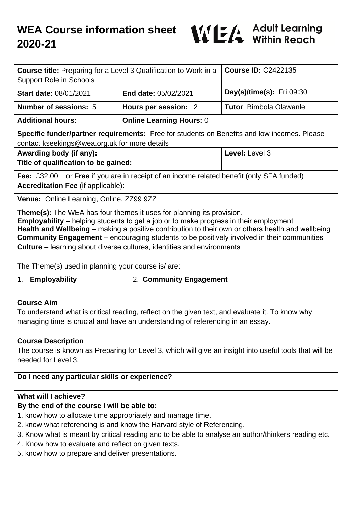

| <b>Course title:</b> Preparing for a Level 3 Qualification to Work in a<br><b>Support Role in Schools</b>                                                                                                                                                                                                                                                                                                                                                               |                                 | <b>Course ID: C2422135</b>       |
|-------------------------------------------------------------------------------------------------------------------------------------------------------------------------------------------------------------------------------------------------------------------------------------------------------------------------------------------------------------------------------------------------------------------------------------------------------------------------|---------------------------------|----------------------------------|
| <b>Start date: 08/01/2021</b>                                                                                                                                                                                                                                                                                                                                                                                                                                           | <b>End date: 05/02/2021</b>     | <b>Day(s)/time(s):</b> Fri 09:30 |
| <b>Number of sessions: 5</b>                                                                                                                                                                                                                                                                                                                                                                                                                                            | Hours per session: 2            | <b>Tutor</b> Bimbola Olawanle    |
| <b>Additional hours:</b>                                                                                                                                                                                                                                                                                                                                                                                                                                                | <b>Online Learning Hours: 0</b> |                                  |
| Specific funder/partner requirements: Free for students on Benefits and low incomes. Please<br>contact kseekings@wea.org.uk for more details                                                                                                                                                                                                                                                                                                                            |                                 |                                  |
| Awarding body (if any):<br>Title of qualification to be gained:                                                                                                                                                                                                                                                                                                                                                                                                         |                                 | Level: Level 3                   |
| <b>Fee:</b> £32.00 or <b>Free</b> if you are in receipt of an income related benefit (only SFA funded)<br><b>Accreditation Fee (if applicable):</b>                                                                                                                                                                                                                                                                                                                     |                                 |                                  |
| Venue: Online Learning, Online, ZZ99 9ZZ                                                                                                                                                                                                                                                                                                                                                                                                                                |                                 |                                  |
| <b>Theme(s):</b> The WEA has four themes it uses for planning its provision.<br><b>Employability</b> – helping students to get a job or to make progress in their employment<br>Health and Wellbeing – making a positive contribution to their own or others health and wellbeing<br><b>Community Engagement</b> – encouraging students to be positively involved in their communities<br><b>Culture</b> – learning about diverse cultures, identities and environments |                                 |                                  |
| The Theme(s) used in planning your course is/are:                                                                                                                                                                                                                                                                                                                                                                                                                       |                                 |                                  |
| <b>Employability</b><br>1.                                                                                                                                                                                                                                                                                                                                                                                                                                              | 2. Community Engagement         |                                  |
|                                                                                                                                                                                                                                                                                                                                                                                                                                                                         |                                 |                                  |

### **Course Aim**

To understand what is critical reading, reflect on the given text, and evaluate it. To know why managing time is crucial and have an understanding of referencing in an essay.

### **Course Description**

The course is known as Preparing for Level 3, which will give an insight into useful tools that will be needed for Level 3.

## **Do I need any particular skills or experience?**

### **What will I achieve?**

### **By the end of the course I will be able to:**

- 1. know how to allocate time appropriately and manage time.
- 2. know what referencing is and know the Harvard style of Referencing.
- 3. Know what is meant by critical reading and to be able to analyse an author/thinkers reading etc.
- 4. Know how to evaluate and reflect on given texts.
- 5. know how to prepare and deliver presentations.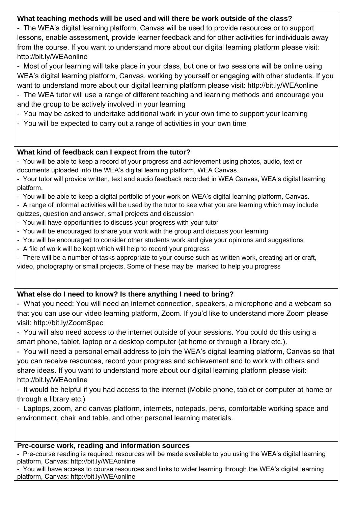## **What teaching methods will be used and will there be work outside of the class?**

- The WEA's digital learning platform, Canvas will be used to provide resources or to support lessons, enable assessment, provide learner feedback and for other activities for individuals away from the course. If you want to understand more about our digital learning platform please visit: http://bit.ly/WEAonline

- Most of your learning will take place in your class, but one or two sessions will be online using WEA's digital learning platform, Canvas, working by yourself or engaging with other students. If you want to understand more about our digital learning platform please visit: http://bit.ly/WEAonline

- The WEA tutor will use a range of different teaching and learning methods and encourage you and the group to be actively involved in your learning
- You may be asked to undertake additional work in your own time to support your learning
- You will be expected to carry out a range of activities in your own time

## **What kind of feedback can I expect from the tutor?**

- You will be able to keep a record of your progress and achievement using photos, audio, text or documents uploaded into the WEA's digital learning platform, WEA Canvas.

- Your tutor will provide written, text and audio feedback recorded in WEA Canvas, WEA's digital learning platform.

- You will be able to keep a digital portfolio of your work on WEA's digital learning platform, Canvas.

- A range of informal activities will be used by the tutor to see what you are learning which may include quizzes, question and answer, small projects and discussion

- You will have opportunities to discuss your progress with your tutor
- You will be encouraged to share your work with the group and discuss your learning
- You will be encouraged to consider other students work and give your opinions and suggestions
- A file of work will be kept which will help to record your progress

- There will be a number of tasks appropriate to your course such as written work, creating art or craft, video, photography or small projects. Some of these may be marked to help you progress

# **What else do I need to know? Is there anything I need to bring?**

- What you need: You will need an internet connection, speakers, a microphone and a webcam so that you can use our video learning platform, Zoom. If you'd like to understand more Zoom please visit: http://bit.ly/ZoomSpec

- You will also need access to the internet outside of your sessions. You could do this using a smart phone, tablet, laptop or a desktop computer (at home or through a library etc.).

- You will need a personal email address to join the WEA's digital learning platform, Canvas so that you can receive resources, record your progress and achievement and to work with others and share ideas. If you want to understand more about our digital learning platform please visit: http://bit.ly/WEAonline

- It would be helpful if you had access to the internet (Mobile phone, tablet or computer at home or through a library etc.)

- Laptops, zoom, and canvas platform, internets, notepads, pens, comfortable working space and environment, chair and table, and other personal learning materials.

## **Pre-course work, reading and information sources**

- Pre-course reading is required: resources will be made available to you using the WEA's digital learning platform, Canvas: http://bit.ly/WEAonline

- You will have access to course resources and links to wider learning through the WEA's digital learning platform, Canvas: http://bit.ly/WEAonline